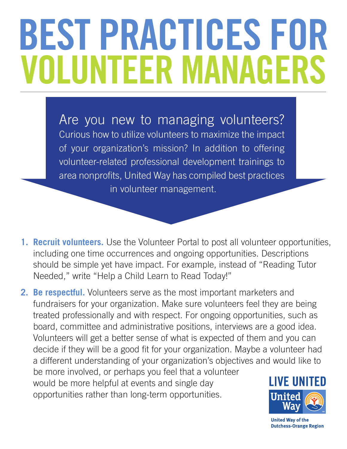# **BEST PRACTICES FOR VOLUNTEER MANAGERS**

Are you new to managing volunteers? Curious how to utilize volunteers to maximize the impact of your organization's mission? In addition to offering volunteer-related professional development trainings to area nonprofits, United Way has compiled best practices in volunteer management.

**1. Recruit volunteers.** Use the Volunteer Portal to post all volunteer opportunities, including one time occurrences and ongoing opportunities. Descriptions should be simple yet have impact. For example, instead of "Reading Tutor Needed," write "Help a Child Learn to Read Today!"

**2. Be respectful.** Volunteers serve as the most important marketers and fundraisers for your organization. Make sure volunteers feel they are being treated professionally and with respect. For ongoing opportunities, such as board, committee and administrative positions, interviews are a good idea. Volunteers will get a better sense of what is expected of them and you can decide if they will be a good fit for your organization. Maybe a volunteer had a different understanding of your organization's objectives and would like to be more involved, or perhaps you feel that a volunteer would be more helpful at events and single day opportunities rather than long-term opportunities.



**United Way of the Dutchess-Orange Region**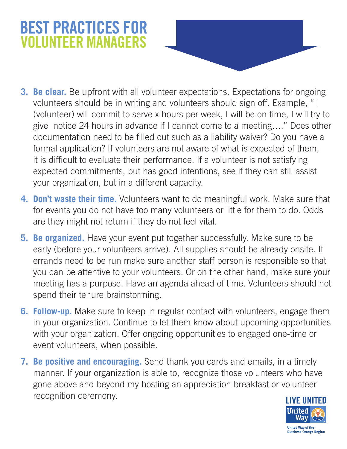## **BEST PRACTICES FOR VOLUNTEER MANAGERS**

- **3. Be clear.** Be upfront with all volunteer expectations. Expectations for ongoing volunteers should be in writing and volunteers should sign off. Example, " I (volunteer) will commit to serve x hours per week, I will be on time, I will try to give notice 24 hours in advance if I cannot come to a meeting…." Does other documentation need to be filled out such as a liability waiver? Do you have a formal application? If volunteers are not aware of what is expected of them, it is difficult to evaluate their performance. If a volunteer is not satisfying expected commitments, but has good intentions, see if they can still assist your organization, but in a different capacity.
- **4. Don't waste their time.** Volunteers want to do meaningful work. Make sure that for events you do not have too many volunteers or little for them to do. Odds are they might not return if they do not feel vital.
- **5. Be organized.** Have your event put together successfully. Make sure to be early (before your volunteers arrive). All supplies should be already onsite. If errands need to be run make sure another staff person is responsible so that you can be attentive to your volunteers. Or on the other hand, make sure your meeting has a purpose. Have an agenda ahead of time. Volunteers should not spend their tenure brainstorming.
- **6. Follow-up.** Make sure to keep in regular contact with volunteers, engage them in your organization. Continue to let them know about upcoming opportunities with your organization. Offer ongoing opportunities to engaged one-time or event volunteers, when possible.
- **7. Be positive and encouraging.** Send thank you cards and emails, in a timely manner. If your organization is able to, recognize those volunteers who have gone above and beyond my hosting an appreciation breakfast or volunteer recognition ceremony.